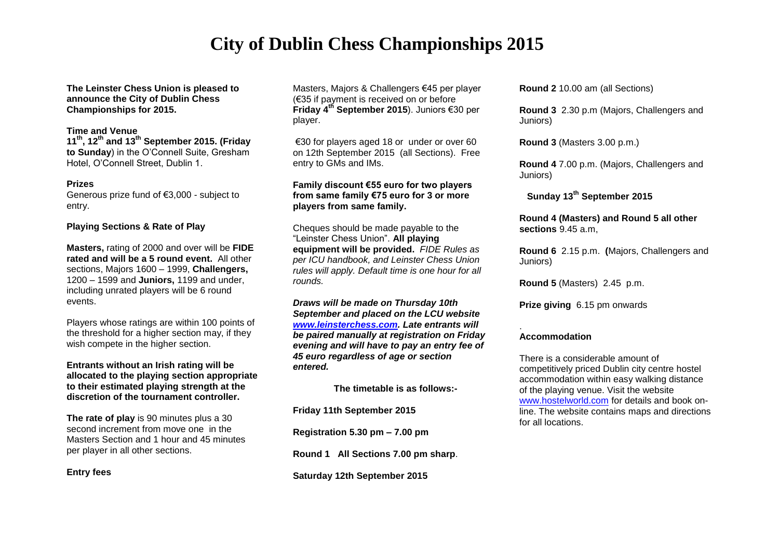# **City of Dublin Chess Championships 2015**

**The Leinster Chess Union is pleased to announce the City of Dublin Chess Championships for 2015.**

### **Time and Venue**

**11 th , 12 th and 13 th September 2015. (Friday to Sunday**) in the O'Connell Suite, Gresham Hotel, O'Connell Street, Dublin 1.

#### **Prizes**

Generous prize fund of €3,000 - subject to entry.

#### **Playing Sections & Rate of Play**

**Masters,** rating of 2000 and over will be **FIDE rated and will be a 5 round event.** All other sections, Majors 1600 – 1999, **Challengers,** 1200 – 1599 and **Juniors,** 1199 and under, including unrated players will be 6 round events.

Players whose ratings are within 100 points of the threshold for a higher section may, if they wish compete in the higher section.

#### **Entrants without an Irish rating will be allocated to the playing section appropriate to their estimated playing strength at the discretion of the tournament controller.**

**The rate of play** is 90 minutes plus a 30 second increment from move one in the Masters Section and 1 hour and 45 minutes per player in all other sections.

**Entry fees**

Masters, Majors & Challengers €45 per player (€35 if payment is received on or before **Friday 4 th September 2015**). Juniors €30 per player.

€30 for players aged 18 or under or over 60 on 12th September 2015 (all Sections). Free entry to GMs and IMs.

### **Family discount €55 euro for two players from same family €75 euro for 3 or more players from same family.**

Cheques should be made payable to the "Leinster Chess Union". **All playing equipment will be provided.** *FIDE Rules as per ICU handbook, and Leinster Chess Union rules will apply. Default time is one hour for all rounds.*

*Draws will be made on Thursday 10th September and placed on the LCU website [www.leinsterchess.com.](http://www.leinsterchess.com/) Late entrants will be paired manually at registration on Friday evening and will have to pay an entry fee of 45 euro regardless of age or section entered.*

 **The timetable is as follows:-**

**Friday 11th September 2015**

**Registration 5.30 pm – 7.00 pm** 

**Round 1 All Sections 7.00 pm sharp**.

**Saturday 12th September 2015**

**Round 2** 10.00 am (all Sections)

**Round 3** 2.30 p.m (Majors, Challengers and Juniors)

**Round 3** (Masters 3.00 p.m.)

**Round 4** 7.00 p.m. (Majors, Challengers and Juniors)

 **Sunday 13 th September 2015**

**Round 4 (Masters) and Round 5 all other sections** 9.45 a.m,

**Round 6** 2.15 p.m. **(**Majors, Challengers and Juniors)

**Round 5** (Masters) 2.45 p.m.

**Prize giving** 6.15 pm onwards

#### . **Accommodation**

There is a considerable amount of competitively priced Dublin city centre hostel accommodation within easy walking distance of the playing venue. Visit the website [www.hostelworld.com](http://www.hostelworld.com/) for details and book online. The website contains maps and directions for all locations.